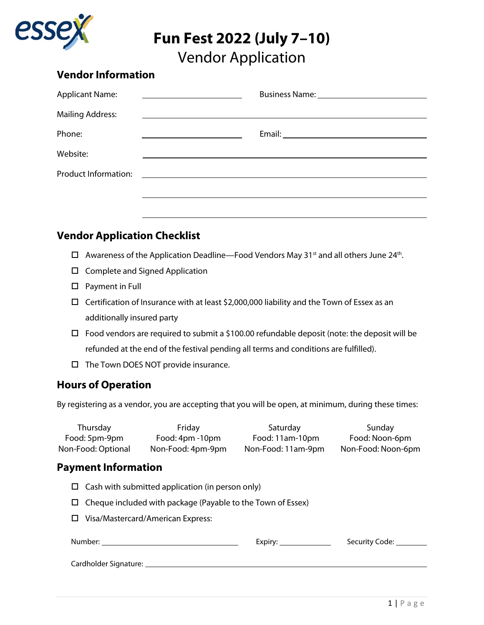

# **Fun Fest 2022 (July 7–10)**

Vendor Application

### **Vendor Information**

| <b>Applicant Name:</b>  | <u> 1980 - Andrea Britain, politik eta politik eta politik eta politik eta politik eta politik eta politik eta p</u>  |                                                                                                                      |
|-------------------------|-----------------------------------------------------------------------------------------------------------------------|----------------------------------------------------------------------------------------------------------------------|
| <b>Mailing Address:</b> | <u> 1989 - Johann Barn, fransk politik (d. 1989)</u>                                                                  |                                                                                                                      |
| Phone:                  | <u> 1989 - Johann Harry Harry Harry Harry Harry Harry Harry Harry Harry Harry Harry Harry Harry Harry Harry Harry</u> | Email: <u>Alexander School (Alexander School) and the School (Alexander School (Alexander School) and the School</u> |
| Website:                |                                                                                                                       |                                                                                                                      |
|                         |                                                                                                                       |                                                                                                                      |
|                         |                                                                                                                       |                                                                                                                      |
|                         |                                                                                                                       |                                                                                                                      |

## **Vendor Application Checklist**

- $\Box$  Awareness of the Application Deadline—Food Vendors May 31<sup>st</sup> and all others June 24<sup>th</sup>.
- □ Complete and Signed Application
- Payment in Full
- $\Box$  Certification of Insurance with at least \$2,000,000 liability and the Town of Essex as an additionally insured party
- $\Box$  Food vendors are required to submit a \$100.00 refundable deposit (note: the deposit will be refunded at the end of the festival pending all terms and conditions are fulfilled).
- $\Box$  The Town DOES NOT provide insurance.

### **Hours of Operation**

By registering as a vendor, you are accepting that you will be open, at minimum, during these times:

| Thursday<br>Food: 5pm-9pm<br>Non-Food: Optional | Friday<br>Food: 4pm -10pm<br>Non-Food: 4pm-9pm                     | Saturday<br>Food: 11am-10pm<br>Non-Food: 11am-9pm | Sunday<br>Food: Noon-6pm<br>Non-Food: Noon-6pm |
|-------------------------------------------------|--------------------------------------------------------------------|---------------------------------------------------|------------------------------------------------|
| <b>Payment Information</b>                      |                                                                    |                                                   |                                                |
|                                                 | $\Box$ Cash with submitted application (in person only)            |                                                   |                                                |
|                                                 | $\Box$ Cheque included with package (Payable to the Town of Essex) |                                                   |                                                |
|                                                 | Visa/Mastercard/American Express:                                  |                                                   |                                                |
|                                                 |                                                                    | Expiry: $\_\_\_\_\_\_\_\_\_\_\_\_\_\_\_\_\_\_\_$  | Security Code: ______                          |
|                                                 |                                                                    |                                                   |                                                |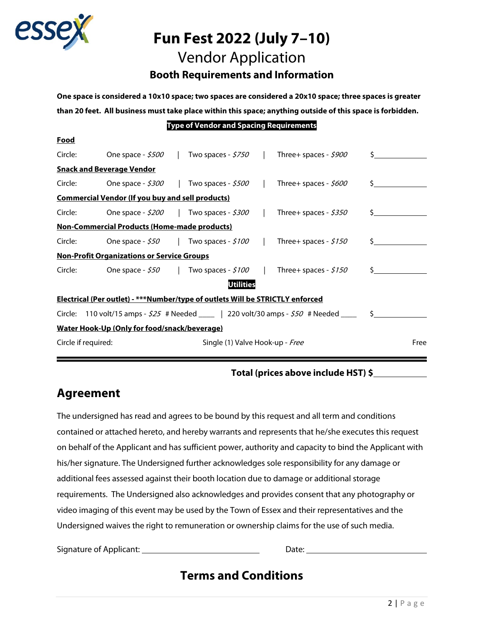

# **Fun Fest 2022 (July 7–10)**

Vendor Application

## **Booth Requirements and Information**

**One space is considered a 10x10 space; two spaces are considered a 20x10 space; three spaces is greater than 20 feet. All business must take place within this space; anything outside of this space is forbidden.** 

#### **Type of Vendor and Spacing Requirements**

| <b>Food</b> |                                                                                    |                                 |                        |      |
|-------------|------------------------------------------------------------------------------------|---------------------------------|------------------------|------|
| Circle:     | One space - $$500$                                                                 | Two spaces - $\zeta$ 750        | Three+ spaces - \$900  |      |
|             | <b>Snack and Beverage Vendor</b>                                                   |                                 |                        |      |
| Circle:     | One space - $$300$                                                                 | Two spaces - <i>\$500</i>       | Three+ spaces - \$600  |      |
|             | <b>Commercial Vendor (If you buy and sell products)</b>                            |                                 |                        |      |
| Circle:     | One space - $$200$   Two spaces - $$300$                                           |                                 | Three+ spaces - $$350$ |      |
|             | <b>Non-Commercial Products (Home-made products)</b>                                |                                 |                        |      |
| Circle:     | One space - $$50$   Two spaces - $$100$                                            |                                 | Three+ spaces - $$150$ |      |
|             | <b>Non-Profit Organizations or Service Groups</b>                                  |                                 |                        |      |
| Circle:     | One space - $$50$   Two spaces - $$100$                                            |                                 | Three+ spaces - $$150$ |      |
|             |                                                                                    | <b>Utilities</b>                |                        |      |
|             | Electrical (Per outlet) - ***Number/type of outlets Will be STRICTLY enforced      |                                 |                        |      |
|             | Circle: 110 volt/15 amps - 525 # Needed ____   220 volt/30 amps - 550 # Needed ___ |                                 |                        |      |
|             | Water Hook-Up (Only for food/snack/beverage)                                       |                                 |                        |      |
|             | Circle if required:                                                                | Single (1) Valve Hook-up - Free |                        | Free |

### **Total (prices above include HST) \$**

## **Agreement**

The undersigned has read and agrees to be bound by this request and all term and conditions contained or attached hereto, and hereby warrants and represents that he/she executes this request on behalf of the Applicant and has sufficient power, authority and capacity to bind the Applicant with his/her signature. The Undersigned further acknowledges sole responsibility for any damage or additional fees assessed against their booth location due to damage or additional storage requirements. The Undersigned also acknowledges and provides consent that any photography or video imaging of this event may be used by the Town of Essex and their representatives and the Undersigned waives the right to remuneration or ownership claims for the use of such media.

Signature of Applicant: Date:

## **Terms and Conditions**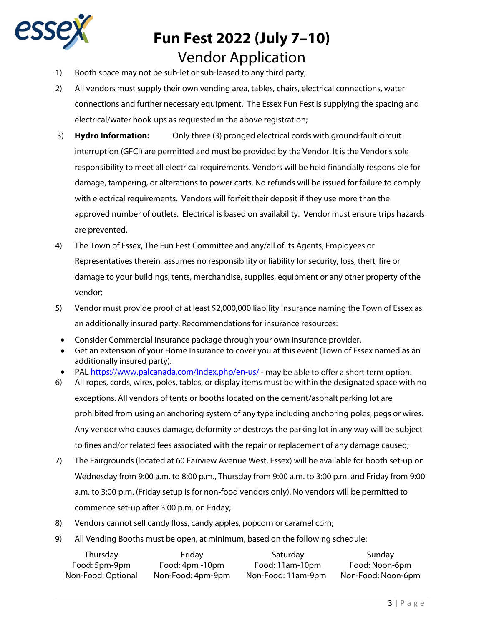

# **Fun Fest 2022 (July 7–10)**  Vendor Application

- 1) Booth space may not be sub-let or sub-leased to any third party;
- 2) All vendors must supply their own vending area, tables, chairs, electrical connections, water connections and further necessary equipment. The Essex Fun Fest is supplying the spacing and electrical/water hook-ups as requested in the above registration;
- 3) **Hydro Information:** Only three (3) pronged electrical cords with ground-fault circuit interruption (GFCI) are permitted and must be provided by the Vendor. It is the Vendor's sole responsibility to meet all electrical requirements. Vendors will be held financially responsible for damage, tampering, or alterations to power carts. No refunds will be issued for failure to comply with electrical requirements. Vendors will forfeit their deposit if they use more than the approved number of outlets. Electrical is based on availability. Vendor must ensure trips hazards are prevented.
- 4) The Town of Essex, The Fun Fest Committee and any/all of its Agents, Employees or Representatives therein, assumes no responsibility or liability for security, loss, theft, fire or damage to your buildings, tents, merchandise, supplies, equipment or any other property of the vendor;
- 5) Vendor must provide proof of at least \$2,000,000 liability insurance naming the Town of Essex as an additionally insured party. Recommendations for insurance resources:
- Consider Commercial Insurance package through your own insurance provider.
- Get an extension of your Home Insurance to cover you at this event (Town of Essex named as an additionally insured party).
- PA[L https://www.palcanada.com/index.php/en-us/](https://www.palcanada.com/index.php/en-us/)  may be able to offer a short term option.
- 6) All ropes, cords, wires, poles, tables, or display items must be within the designated space with no exceptions. All vendors of tents or booths located on the cement/asphalt parking lot are prohibited from using an anchoring system of any type including anchoring poles, pegs or wires. Any vendor who causes damage, deformity or destroys the parking lot in any way will be subject to fines and/or related fees associated with the repair or replacement of any damage caused;
- 7) The Fairgrounds (located at 60 Fairview Avenue West, Essex) will be available for booth set-up on Wednesday from 9:00 a.m. to 8:00 p.m., Thursday from 9:00 a.m. to 3:00 p.m. and Friday from 9:00 a.m. to 3:00 p.m. (Friday setup is for non-food vendors only). No vendors will be permitted to commence set-up after 3:00 p.m. on Friday;
- 8) Vendors cannot sell candy floss, candy apples, popcorn or caramel corn;
- 9) All Vending Booths must be open, at minimum, based on the following schedule:

| Thursday           | Friday            | Saturday           | Sunday             |
|--------------------|-------------------|--------------------|--------------------|
| Food: 5pm-9pm      | Food: 4pm -10pm   | Food: 11am-10pm    | Food: Noon-6pm     |
| Non-Food: Optional | Non-Food: 4pm-9pm | Non-Food: 11am-9pm | Non-Food: Noon-6pm |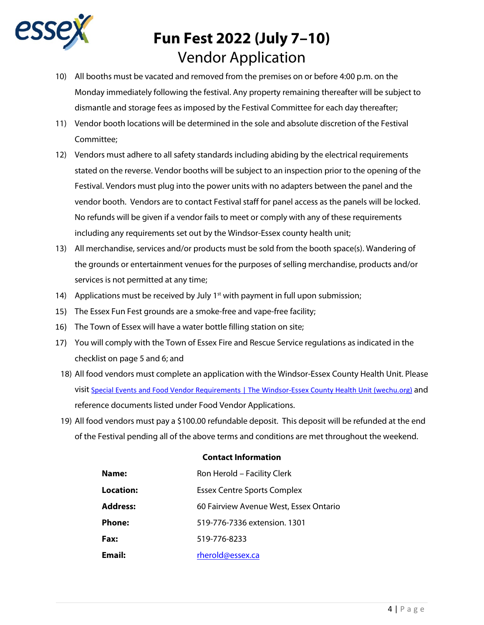

# **Fun Fest 2022 (July 7–10)**  Vendor Application

- 10) All booths must be vacated and removed from the premises on or before 4:00 p.m. on the Monday immediately following the festival. Any property remaining thereafter will be subject to dismantle and storage fees as imposed by the Festival Committee for each day thereafter;
- 11) Vendor booth locations will be determined in the sole and absolute discretion of the Festival Committee;
- 12) Vendors must adhere to all safety standards including abiding by the electrical requirements stated on the reverse. Vendor booths will be subject to an inspection prior to the opening of the Festival. Vendors must plug into the power units with no adapters between the panel and the vendor booth. Vendors are to contact Festival staff for panel access as the panels will be locked. No refunds will be given if a vendor fails to meet or comply with any of these requirements including any requirements set out by the Windsor-Essex county health unit;
- 13) All merchandise, services and/or products must be sold from the booth space(s). Wandering of the grounds or entertainment venues for the purposes of selling merchandise, products and/or services is not permitted at any time;
- 14) Applications must be received by July  $1<sup>st</sup>$  with payment in full upon submission;
- 15) The Essex Fun Fest grounds are a smoke-free and vape-free facility;
- 16) The Town of Essex will have a water bottle filling station on site;
- 17) You will comply with the Town of Essex Fire and Rescue Service regulations as indicated in the checklist on page 5 and 6; and
	- 18) All food vendors must complete an application with the Windsor-Essex County Health Unit. Please visit [Special Events and Food Vendor Requirements | The Windsor-Essex County Health Unit \(wechu.org\)](https://www.wechu.org/food-safety/special-events-and-food-vendor-requirements) and reference documents listed under Food Vendor Applications.
	- 19) All food vendors must pay a \$100.00 refundable deposit. This deposit will be refunded at the end of the Festival pending all of the above terms and conditions are met throughout the weekend.

| Name:           | Ron Herold - Facility Clerk            |  |
|-----------------|----------------------------------------|--|
| Location:       | <b>Essex Centre Sports Complex</b>     |  |
| <b>Address:</b> | 60 Fairview Avenue West, Essex Ontario |  |
| <b>Phone:</b>   | 519-776-7336 extension, 1301           |  |
| Fax:            | 519-776-8233                           |  |
| Email:          | rherold@essex.ca                       |  |

#### **Contact Information**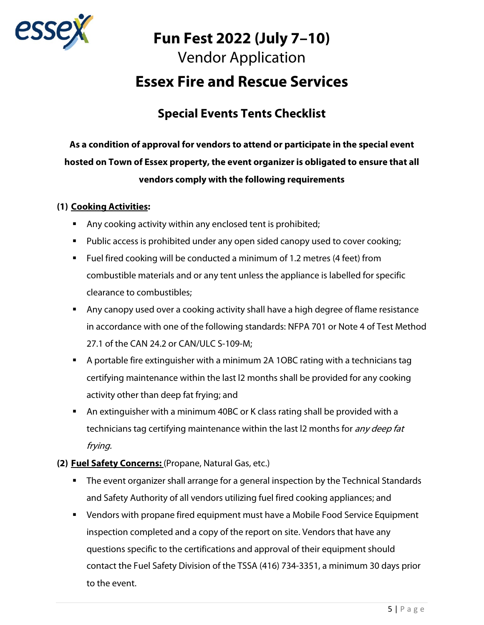

# **Fun Fest 2022 (July 7–10)**  Vendor Application

# **Essex Fire and Rescue Services**

# **Special Events Tents Checklist**

# **As a condition of approval for vendors to attend or participate in the special event hosted on Town of Essex property, the event organizer is obligated to ensure that all vendors comply with the following requirements**

### **(1) Cooking Activities:**

- Any cooking activity within any enclosed tent is prohibited;
- **Public access is prohibited under any open sided canopy used to cover cooking;**
- Fuel fired cooking will be conducted a minimum of 1.2 metres (4 feet) from combustible materials and or any tent unless the appliance is labelled for specific clearance to combustibles;
- Any canopy used over a cooking activity shall have a high degree of flame resistance in accordance with one of the following standards: NFPA 701 or Note 4 of Test Method 27.1 of the CAN 24.2 or CAN/ULC S-109-M;
- A portable fire extinguisher with a minimum 2A 1OBC rating with a technicians tag certifying maintenance within the last l2 months shall be provided for any cooking activity other than deep fat frying; and
- An extinguisher with a minimum 40BC or K class rating shall be provided with a technicians tag certifying maintenance within the last I2 months for *any deep fat* frying.
- **(2) Fuel Safety Concerns:** (Propane, Natural Gas, etc.)
	- The event organizer shall arrange for a general inspection by the Technical Standards and Safety Authority of all vendors utilizing fuel fired cooking appliances; and
	- Vendors with propane fired equipment must have a Mobile Food Service Equipment inspection completed and a copy of the report on site. Vendors that have any questions specific to the certifications and approval of their equipment should contact the Fuel Safety Division of the TSSA (416) 734-3351, a minimum 30 days prior to the event.